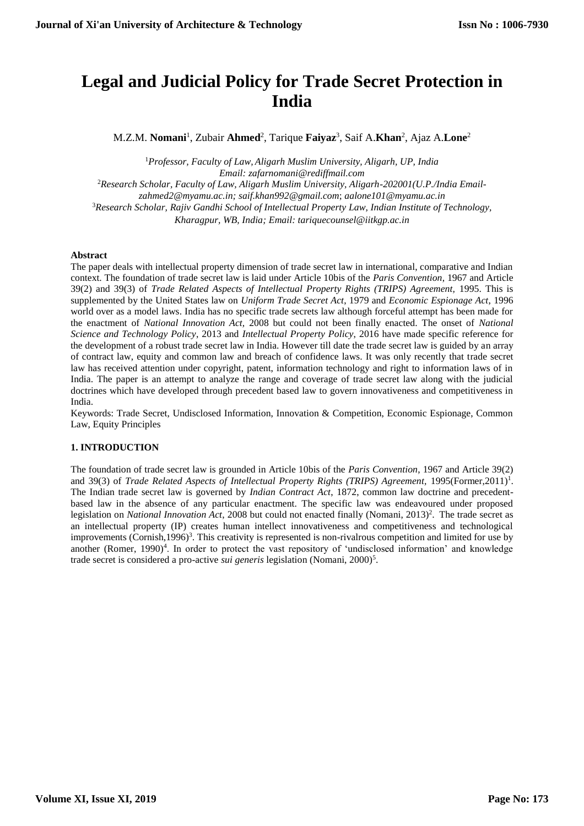# **Legal and Judicial Policy for Trade Secret Protection in India**

M.Z.M. **Nomani**<sup>1</sup> , Zubair **Ahmed**<sup>2</sup> , Tarique **Faiyaz**<sup>3</sup> , Saif A.**Khan**<sup>2</sup> , Ajaz A.**Lone**<sup>2</sup>

<sup>1</sup>*Professor, Faculty of Law, Aligarh Muslim University, Aligarh, UP, India Email: [zafarnomani@rediffmail.com](mailto:zafarnomani@rediffmail.com)* <sup>2</sup>Research Scholar, Faculty of Law, Aligarh Muslim University, Aligarh-202001(U.P./India Email*zahmed2@myamu.ac.in; [saif.khan992@gmail.com](mailto:saif.khan992@gmail.com)*; *aalone101@myamu.ac.in* <sup>3</sup>*Research Scholar, Rajiv Gandhi School of Intellectual Property Law, Indian Institute of Technology, Kharagpur, WB, India; Email: [tariquecounsel@iitkgp.ac.in](mailto:tariquecounsel@iitkgp.ac.in)*

#### **Abstract**

The paper deals with intellectual property dimension of trade secret law in international, comparative and Indian context. The foundation of trade secret law is laid under Article 10bis of the *Paris Convention*, 1967 and Article 39(2) and 39(3) of *Trade Related Aspects of Intellectual Property Rights (TRIPS) Agreement,* 1995. This is supplemented by the United States law on *Uniform Trade Secret Act*, 1979 and *Economic Espionage Act*, 1996 world over as a model laws. India has no specific trade secrets law although forceful attempt has been made for the enactment of *National Innovation Act,* 2008 but could not been finally enacted. The onset of *National Science and Technology Policy*, 2013 and *Intellectual Property Policy*, 2016 have made specific reference for the development of a robust trade secret law in India. However till date the trade secret law is guided by an array of contract law, equity and common law and breach of confidence laws. It was only recently that trade secret law has received attention under copyright, patent, information technology and right to information laws of in India. The paper is an attempt to analyze the range and coverage of trade secret law along with the judicial doctrines which have developed through precedent based law to govern innovativeness and competitiveness in India.

Keywords: Trade Secret, Undisclosed Information, Innovation & Competition, Economic Espionage, Common Law, Equity Principles

# **1. INTRODUCTION**

The foundation of trade secret law is grounded in Article 10bis of the *Paris Convention*, 1967 and Article 39(2) and 39(3) of *Trade Related Aspects of Intellectual Property Rights (TRIPS) Agreement*, 1995(Former,2011)<sup>1</sup>. The Indian trade secret law is governed by *Indian Contract Act*, 1872, common law doctrine and precedentbased law in the absence of any particular enactment. The specific law was endeavoured under proposed legislation on *National Innovation Act*, 2008 but could not enacted finally (Nomani, 2013)<sup>2</sup>. The trade secret as an intellectual property (IP) creates human intellect innovativeness and competitiveness and technological improvements (Cornish,1996)<sup>3</sup>. This creativity is represented is non-rivalrous competition and limited for use by another (Romer, 1990)<sup>4</sup>. In order to protect the vast repository of 'undisclosed information' and knowledge trade secret is considered a pro-active *sui generis* legislation (Nomani, 2000)<sup>5</sup>.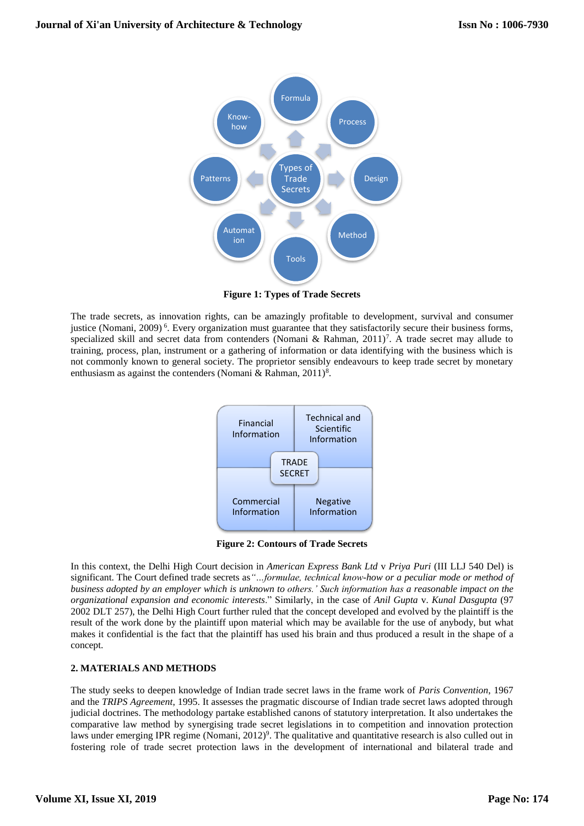

**Figure 1: Types of Trade Secrets**

The trade secrets, as innovation rights, can be amazingly profitable to development, survival and consumer justice (Nomani, 2009)<sup>6</sup>. Every organization must guarantee that they satisfactorily secure their business forms, specialized skill and secret data from contenders (Nomani & Rahman,  $2011$ <sup>7</sup>. A trade secret may allude to training, process, plan, instrument or a gathering of information or data identifying with the business which is not commonly known to general society. The proprietor sensibly endeavours to keep trade secret by monetary enthusiasm as against the contenders (Nomani & Rahman, 2011)<sup>8</sup>.



**Figure 2: Contours of Trade Secrets**

In this context, the Delhi High Court decision in *American Express Bank Ltd* v *Priya Puri* (III LLJ 540 Del) is significant. The Court defined trade secrets as*"…formulae, technical know-how or a peculiar mode or method of business adopted by an employer which is unknown to others.' Such information has a reasonable impact on the organizational expansion and economic interests*." Similarly, in the case of *Anil Gupta* v. *Kunal Dasgupta* (97 2002 DLT 257), the Delhi High Court further ruled that the concept developed and evolved by the plaintiff is the result of the work done by the plaintiff upon material which may be available for the use of anybody, but what makes it confidential is the fact that the plaintiff has used his brain and thus produced a result in the shape of a concept.

# **2. MATERIALS AND METHODS**

The study seeks to deepen knowledge of Indian trade secret laws in the frame work of *Paris Convention*, 1967 and the *TRIPS Agreement*, 1995. It assesses the pragmatic discourse of Indian trade secret laws adopted through judicial doctrines. The methodology partake established canons of statutory interpretation. It also undertakes the comparative law method by synergising trade secret legislations in to competition and innovation protection laws under emerging IPR regime (Nomani, 2012)<sup>9</sup>. The qualitative and quantitative research is also culled out in fostering role of trade secret protection laws in the development of international and bilateral trade and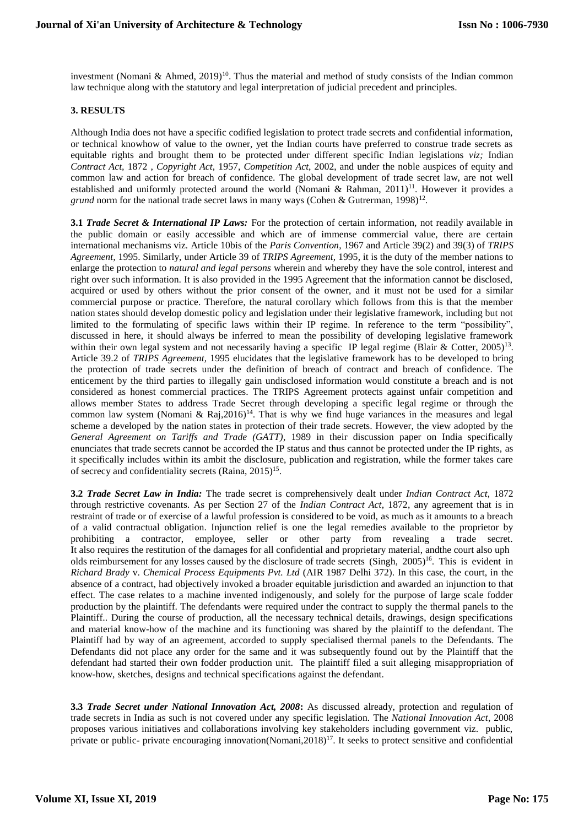investment (Nomani & Ahmed, 2019)<sup>10</sup>. Thus the material and method of study consists of the Indian common law technique along with the statutory and legal interpretation of judicial precedent and principles.

#### **3. RESULTS**

Although India does not have a specific codified legislation to protect trade secrets and confidential information, or technical knowhow of value to the owner, yet the Indian courts have preferred to construe trade secrets as equitable rights and brought them to be protected under different specific Indian legislations *viz;* Indian *Contract Act,* 1872 , *Copyright Act*, 1957, *Competition Act*, 2002, and under the noble auspices of equity and common law and action for breach of confidence. The global development of trade secret law, are not well established and uniformly protected around the world (Nomani & Rahman,  $2011$ )<sup>11</sup>. However it provides a grund norm for the national trade secret laws in many ways (Cohen & Gutrerman, 1998)<sup>12</sup>.

**3.1** *Trade Secret & International IP Laws:* For the protection of certain information, not readily available in the public domain or easily accessible and which are of immense commercial value, there are certain international mechanisms viz. Article 10bis of the *Paris Convention*, 1967 and Article 39(2) and 39(3) of *TRIPS Agreement,* 1995. Similarly, under Article 39 of *TRIPS Agreement,* 1995, it is the duty of the member nations to enlarge the protection to *natural and legal persons* wherein and whereby they have the sole control, interest and right over such information. It is also provided in the 1995 Agreement that the information cannot be disclosed, acquired or used by others without the prior consent of the owner, and it must not be used for a similar commercial purpose or practice. Therefore, the natural corollary which follows from this is that the member nation states should develop domestic policy and legislation under their legislative framework, including but not limited to the formulating of specific laws within their IP regime. In reference to the term "possibility", discussed in here, it should always be inferred to mean the possibility of developing legislative framework within their own legal system and not necessarily having a specific IP legal regime (Blair & Cotter, 2005)<sup>13</sup>. Article 39.2 of *TRIPS Agreement,* 1995 elucidates that the legislative framework has to be developed to bring the protection of trade secrets under the definition of breach of contract and breach of confidence. The enticement by the third parties to illegally gain undisclosed information would constitute a breach and is not considered as honest commercial practices. The TRIPS Agreement protects against unfair competition and allows member States to address Trade Secret through developing a specific legal regime or through the common law system (Nomani & Raj,  $2016$ )<sup>14</sup>. That is why we find huge variances in the measures and legal scheme a developed by the nation states in protection of their trade secrets. However, the view adopted by the *General Agreement on Tariffs and Trade (GATT)*, 1989 in their discussion paper on India specifically enunciates that trade secrets cannot be accorded the IP status and thus cannot be protected under the IP rights, as it specifically includes within its ambit the disclosure, publication and registration, while the former takes care of secrecy and confidentiality secrets (Raina, 2015)<sup>15</sup>.

**3.2** *Trade Secret Law in India:* The trade secret is comprehensively dealt under *Indian Contract Act*, 1872 through restrictive covenants. As per Section 27 of the *Indian Contract Act*, 1872, any agreement that is in restraint of trade or of exercise of a lawful profession is considered to be void, as much as it amounts to a breach of a valid contractual obligation. Injunction relief is one the legal remedies available to the proprietor by prohibiting a contractor, employee, seller or other party from revealing a trade secret. It also requires the restitution of the damages for all confidential and proprietary material, andthe court also uph olds reimbursement for any losses caused by the disclosure of trade secrets (Singh, 2005)<sup>16</sup>. This is evident in *Richard Brady* v. *Chemical Process Equipments Pvt. Ltd* (AIR 1987 Delhi 372). In this case, the court, in the absence of a contract, had objectively invoked a broader equitable jurisdiction and awarded an injunction to that effect. The case relates to a machine invented indigenously, and solely for the purpose of large scale fodder production by the plaintiff. The defendants were required under the contract to supply the thermal panels to the Plaintiff.. During the course of production, all the necessary technical details, drawings, design specifications and material know-how of the machine and its functioning was shared by the plaintiff to the defendant. The Plaintiff had by way of an agreement, accorded to supply specialised thermal panels to the Defendants. The Defendants did not place any order for the same and it was subsequently found out by the Plaintiff that the defendant had started their own fodder production unit. The plaintiff filed a suit alleging misappropriation of know-how, sketches, designs and technical specifications against the defendant.

**3.3** *Trade Secret under National Innovation Act, 2008***:** As discussed already, protection and regulation of trade secrets in India as such is not covered under any specific legislation. The *National Innovation Act*, 2008 proposes various initiatives and collaborations involving key stakeholders including government viz. public, private or public- private encouraging innovation(Nomani, 2018)<sup>17</sup>. It seeks to protect sensitive and confidential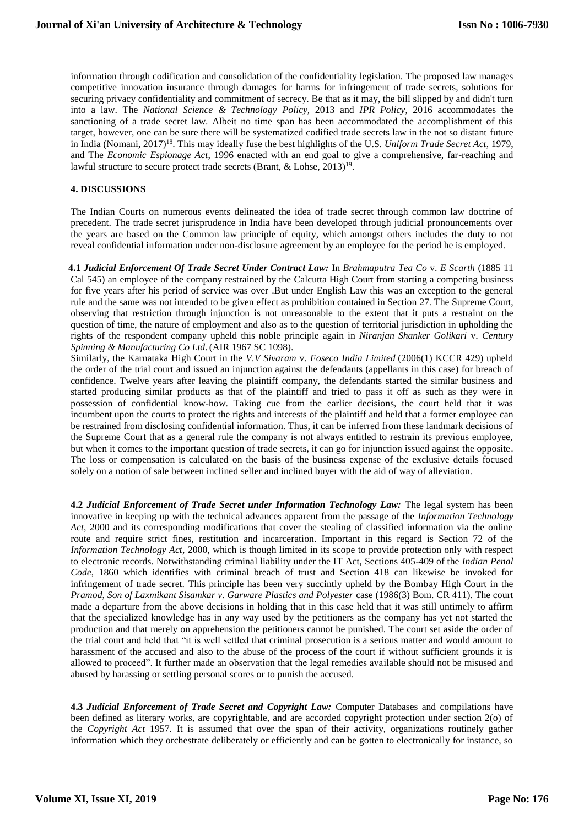information through codification and consolidation of the confidentiality legislation. The proposed law manages competitive innovation insurance through damages for harms for infringement of trade secrets, solutions for securing privacy confidentiality and commitment of secrecy. Be that as it may, the bill slipped by and didn't turn into a law. The *[National Science & Technology](http://dipp.nic.in/English/Schemes/Intellectual_Property_Rights/National_IPR_Policy_12.05.2016.pdf) Policy,* 2013 and *IPR Policy*, 2016 accommodates the sanctioning of a trade secret law. Albeit no time span has been accommodated the accomplishment of this target, however, one can be sure there will be systematized codified trade secrets law in the not so distant future in India (Nomani, 2017)<sup>18</sup> . This may ideally fuse the best highlights of the U.S. *Uniform Trade Secret Act*, 1979, and The *Economic Espionage Act*, 1996 enacted with an end goal to give a comprehensive, far-reaching and lawful structure to secure protect trade secrets (Brant, & Lohse,  $2013)^{19}$ .

# **4. DISCUSSIONS**

The Indian Courts on numerous events delineated the idea of trade secret through common law doctrine of precedent. The trade secret jurisprudence in India have been developed through judicial pronouncements over the years are based on the Common law principle of equity, which amongst others includes the duty to not reveal confidential information under non-disclosure agreement by an employee for the period he is employed.

 **4.1** *Judicial Enforcement Of Trade Secret Under Contract Law:* In *Brahmaputra Tea Co* v. *E Scarth* (1885 11 Cal 545) an employee of the company restrained by the Calcutta High Court from starting a competing business for five years after his period of service was over .But under English Law this was an exception to the general rule and the same was not intended to be given effect as prohibition contained in Section 27. The Supreme Court, observing that restriction through injunction is not unreasonable to the extent that it puts a restraint on the question of time, the nature of employment and also as to the question of territorial jurisdiction in upholding the rights of the respondent company upheld this noble principle again in *Niranjan Shanker Golikari* v. *Century Spinning & Manufacturing Co Ltd*. (AIR 1967 SC 1098).

Similarly, the Karnataka High Court in the *V.V Sivaram* v. *Foseco India Limited* (2006(1) KCCR 429) upheld the order of the trial court and issued an injunction against the defendants (appellants in this case) for breach of confidence. Twelve years after leaving the plaintiff company, the defendants started the similar business and started producing similar products as that of the plaintiff and tried to pass it off as such as they were in possession of confidential know-how. Taking cue from the earlier decisions, the court held that it was incumbent upon the courts to protect the rights and interests of the plaintiff and held that a former employee can be restrained from disclosing confidential information. Thus, it can be inferred from these landmark decisions of the Supreme Court that as a general rule the company is not always entitled to restrain its previous employee, but when it comes to the important question of trade secrets, it can go for injunction issued against the opposite. The loss or compensation is calculated on the basis of the business expense of the exclusive details focused solely on a notion of sale between inclined seller and inclined buyer with the aid of way of alleviation.

**4.2** *Judicial Enforcement of Trade Secret under Information Technology Law:* The legal system has been innovative in keeping up with the technical advances apparent from the passage of the *Information Technology Act*, 2000 and its corresponding modifications that cover the stealing of classified information via the online route and require strict fines, restitution and incarceration. Important in this regard is Section 72 of the *Information Technology Act*, 2000, which is though limited in its scope to provide protection only with respect to electronic records. Notwithstanding criminal liability under the IT Act, Sections 405-409 of the *Indian Penal Code*, 1860 which identifies with criminal breach of trust and Section 418 can likewise be invoked for infringement of trade secret. This principle has been very succintly upheld by the Bombay High Court in the *Pramod, Son of Laxmikant Sisamkar v. Garware Plastics and Polyester* case (1986(3) Bom. CR 411). The court made a departure from the above decisions in holding that in this case held that it was still untimely to affirm that the specialized knowledge has in any way used by the petitioners as the company has yet not started the production and that merely on apprehension the petitioners cannot be punished. The court set aside the order of the trial court and held that "it is well settled that criminal prosecution is a serious matter and would amount to harassment of the accused and also to the abuse of the process of the court if without sufficient grounds it is allowed to proceed". It further made an observation that the legal remedies available should not be misused and abused by harassing or settling personal scores or to punish the accused.

**4.3** *Judicial Enforcement of Trade Secret and Copyright Law:* Computer Databases and compilations have been defined as literary works, are copyrightable, and are accorded copyright protection under section 2(o) of the *Copyright Act* 1957. It is assumed that over the span of their activity, organizations routinely gather information which they orchestrate deliberately or efficiently and can be gotten to electronically for instance, so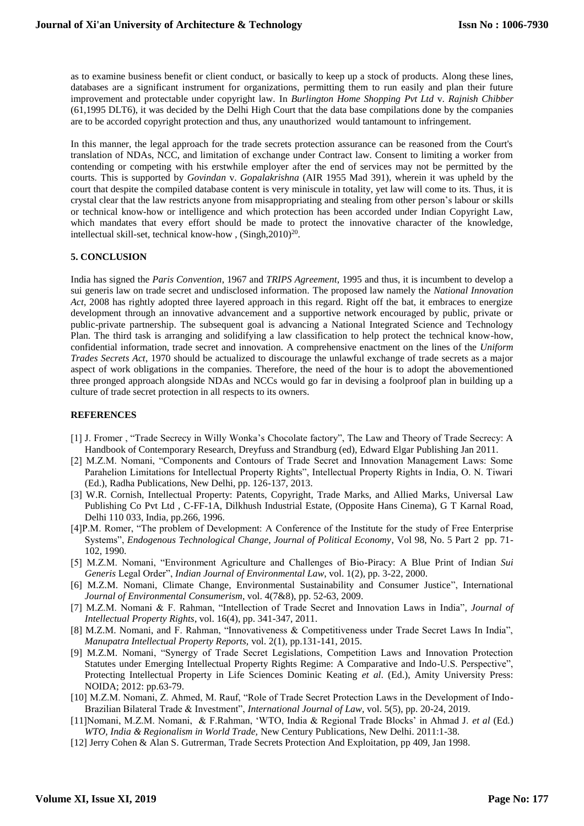as to examine business benefit or client conduct, or basically to keep up a stock of products. Along these lines, databases are a significant instrument for organizations, permitting them to run easily and plan their future improvement and protectable under copyright law. In *Burlington Home Shopping Pvt Ltd* v. *Rajnish Chibber*  (61,1995 DLT6), it was decided by the Delhi High Court that the data base compilations done by the companies are to be accorded copyright protection and thus, any unauthorized would tantamount to infringement.

In this manner, the legal approach for the trade secrets protection assurance can be reasoned from the Court's translation of NDAs, NCC, and limitation of exchange under Contract law. Consent to limiting a worker from contending or competing with his erstwhile employer after the end of services may not be permitted by the courts. This is supported by *Govindan* v. *Gopalakrishna* (AIR 1955 Mad 391)*,* wherein it was upheld by the court that despite the compiled database content is very miniscule in totality, yet law will come to its. Thus, it is crystal clear that the law restricts anyone from misappropriating and stealing from other person's labour or skills or technical know-how or intelligence and which protection has been accorded under Indian Copyright Law, which mandates that every effort should be made to protect the innovative character of the knowledge, intellectual skill-set, technical know-how,  $(Singh, 2010)^{20}$ .

# **5. CONCLUSION**

India has signed the *Paris Convention*, 1967 and *TRIPS Agreement*, 1995 and thus, it is incumbent to develop a sui generis law on trade secret and undisclosed information. The proposed law namely the *National Innovation Act*, 2008 has rightly adopted three layered approach in this regard. Right off the bat, it embraces to energize development through an innovative advancement and a supportive network encouraged by public, private or public-private partnership. The subsequent goal is advancing a National Integrated Science and Technology Plan. The third task is arranging and solidifying a law classification to help protect the technical know-how, confidential information, trade secret and innovation. A comprehensive enactment on the lines of the *Uniform Trades Secrets Act*, 1970 should be actualized to discourage the unlawful exchange of trade secrets as a major aspect of work obligations in the companies. Therefore, the need of the hour is to adopt the abovementioned three pronged approach alongside NDAs and NCCs would go far in devising a foolproof plan in building up a culture of trade secret protection in all respects to its owners.

#### **REFERENCES**

- [1] J. Fromer , "Trade Secrecy in Willy Wonka's Chocolate factory", The Law and Theory of Trade Secrecy: A Handbook of Contemporary Research, Dreyfuss and Strandburg (ed), Edward Elgar Publishing Jan 2011.
- [2] M.Z.M. Nomani, "Components and Contours of Trade Secret and Innovation Management Laws: Some Parahelion Limitations for Intellectual Property Rights", Intellectual Property Rights in India, O. N. Tiwari (Ed.), Radha Publications, New Delhi, pp. 126-137, 2013.
- [3] W.R. Cornish, Intellectual Property: Patents, Copyright, Trade Marks, and Allied Marks, Universal Law Publishing Co Pvt Ltd , C-FF-1A, Dilkhush Industrial Estate, (Opposite Hans Cinema), G T Karnal Road, Delhi 110 033, India, pp.266, 1996.
- [4]P.M. Romer, "The problem of Development: A Conference of the Institute for the study of Free Enterprise Systems", *Endogenous Technological Change, Journal of Political Economy*, Vol 98, No. 5 Part 2 pp. 71- 102, 1990.
- [5] M.Z.M. Nomani, "Environment Agriculture and Challenges of Bio-Piracy: A Blue Print of Indian *Sui Generis* Legal Order", *Indian Journal of Environmental Law*, vol. 1(2), pp. 3-22, 2000.
- [6] M.Z.M. Nomani, [Climate Change, Environmental Sustainability and Consumer Justice"](https://scholar.google.com/scholar?oi=bibs&cluster=2284910976641854088&btnI=1&hl=en), International *Journal of Environmental Consumerism*, vol. 4(7&8), pp. 52-63, 2009.
- [7] M.Z.M. Nomani & F. Rahman, "Intellection of Trade Secret and Innovation Laws in India", *Journal of Intellectual Property Rights*, vol. 16(4), pp. 341-347, 2011.
- [8] M.Z.M. Nomani, and F. Rahman, "Innovativeness & Competitiveness under Trade Secret Laws In India", *Manupatra Intellectual Property Reports,* vol. 2(1), pp.131-141, 2015.
- [9] M.Z.M. Nomani, "Synergy of Trade Secret Legislations, Competition Laws and Innovation Protection Statutes under Emerging Intellectual Property Rights Regime: A Comparative and Indo-U.S. Perspective", Protecting Intellectual Property in Life Sciences Dominic Keating *et al*. (Ed.), Amity University Press: NOIDA; 2012: pp.63-79.
- [10] M.Z.M. Nomani, Z. Ahmed, M. Rauf, "Role of Trade Secret Protection Laws in the Development of Indo-Brazilian Bilateral Trade & Investment", *International Journal of Law*, vol. 5(5), pp. 20-24, 2019.
- [11]Nomani, M.Z.M. Nomani, & F.Rahman, 'WTO, India & Regional Trade Blocks' in Ahmad J. *et al* (Ed.) *WTO, India & Regionalism in World Trade,* New Century Publications, New Delhi. 2011:1-38.
- [12] Jerry Cohen & Alan S. Gutrerman, Trade Secrets Protection And Exploitation, pp 409, Jan 1998.